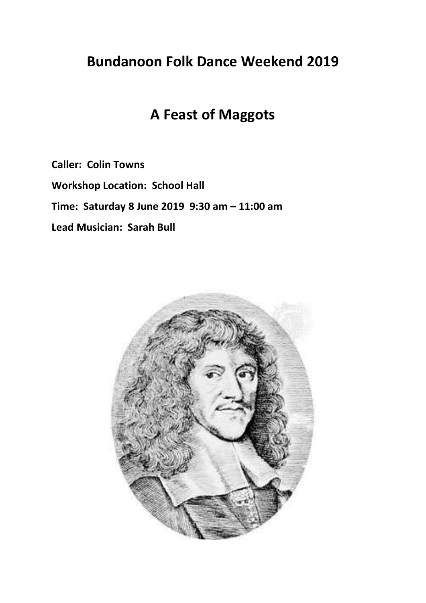## **Bundanoon Folk Dance Weekend 2019**

## **A Feast of Maggots**

**Caller: Colin Towns**

**Workshop Location: School Hall**

**Time: Saturday 8 June 2019 9:30 am – 11:00 am**

**Lead Musician: Sarah Bull**

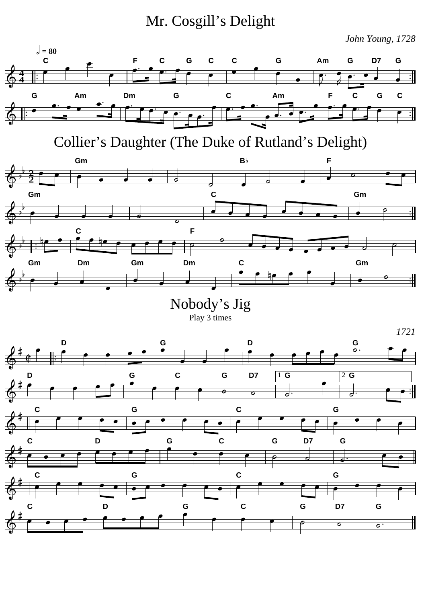Mr. Cosgill's Delight

*John Young, 1728*

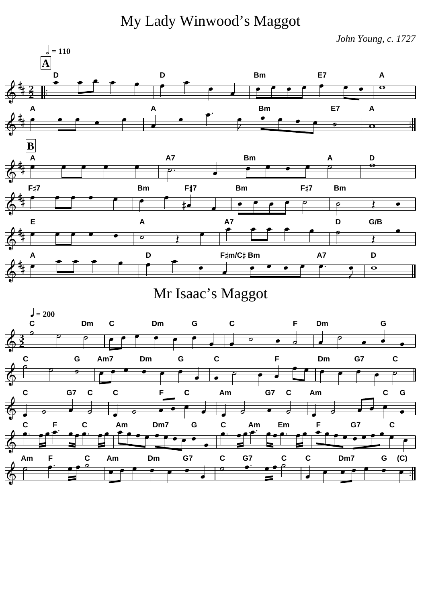My Lady Winwood's Maggot

*John Young, c. 1727*



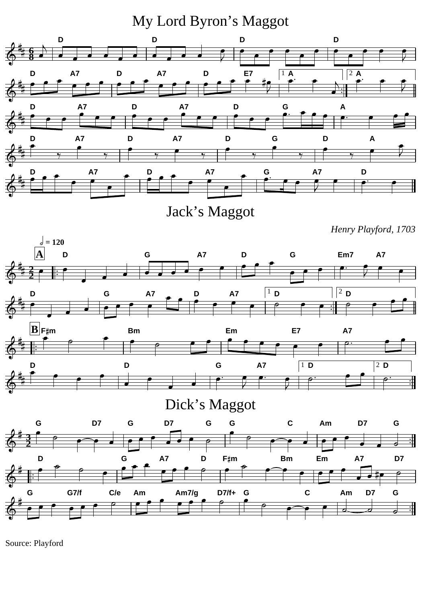My Lord Byron's Maggot



Jack's Maggot

*Henry Playford, 1703*



## Dick's Maggot



Source: Playford